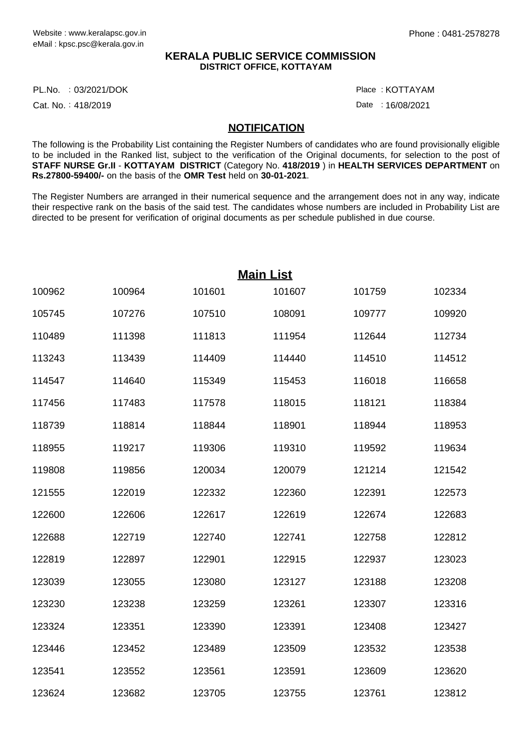## **KERALA PUBLIC SERVICE COMMISSION DISTRICT OFFICE, KOTTAYAM**

PL.No. :03/2021/DOK Particle in the control of the control of the control of the control of the control of the

Cat. No.: 418/2019

: KOTTAYAM

Date: 16/08/2021

## **NOTIFICATION**

The following is the Probability List containing the Register Numbers of candidates who are found provisionally eligible to be included in the Ranked list, subject to the verification of the Original documents, for selection to the post of **STAFF NURSE Gr.II** - **KOTTAYAM DISTRICT** (Category No. **418/2019** ) in **HEALTH SERVICES DEPARTMENT** on **Rs.27800-59400/-** on the basis of the **OMR Test** held on **30-01-2021**.

The Register Numbers are arranged in their numerical sequence and the arrangement does not in any way, indicate their respective rank on the basis of the said test. The candidates whose numbers are included in Probability List are directed to be present for verification of original documents as per schedule published in due course.

|        |        |        | <b>Main List</b> |        |        |
|--------|--------|--------|------------------|--------|--------|
| 100962 | 100964 | 101601 | 101607           | 101759 | 102334 |
| 105745 | 107276 | 107510 | 108091           | 109777 | 109920 |
| 110489 | 111398 | 111813 | 111954           | 112644 | 112734 |
| 113243 | 113439 | 114409 | 114440           | 114510 | 114512 |
| 114547 | 114640 | 115349 | 115453           | 116018 | 116658 |
| 117456 | 117483 | 117578 | 118015           | 118121 | 118384 |
| 118739 | 118814 | 118844 | 118901           | 118944 | 118953 |
| 118955 | 119217 | 119306 | 119310           | 119592 | 119634 |
| 119808 | 119856 | 120034 | 120079           | 121214 | 121542 |
| 121555 | 122019 | 122332 | 122360           | 122391 | 122573 |
| 122600 | 122606 | 122617 | 122619           | 122674 | 122683 |
| 122688 | 122719 | 122740 | 122741           | 122758 | 122812 |
| 122819 | 122897 | 122901 | 122915           | 122937 | 123023 |
| 123039 | 123055 | 123080 | 123127           | 123188 | 123208 |
| 123230 | 123238 | 123259 | 123261           | 123307 | 123316 |
| 123324 | 123351 | 123390 | 123391           | 123408 | 123427 |
| 123446 | 123452 | 123489 | 123509           | 123532 | 123538 |
| 123541 | 123552 | 123561 | 123591           | 123609 | 123620 |
| 123624 | 123682 | 123705 | 123755           | 123761 | 123812 |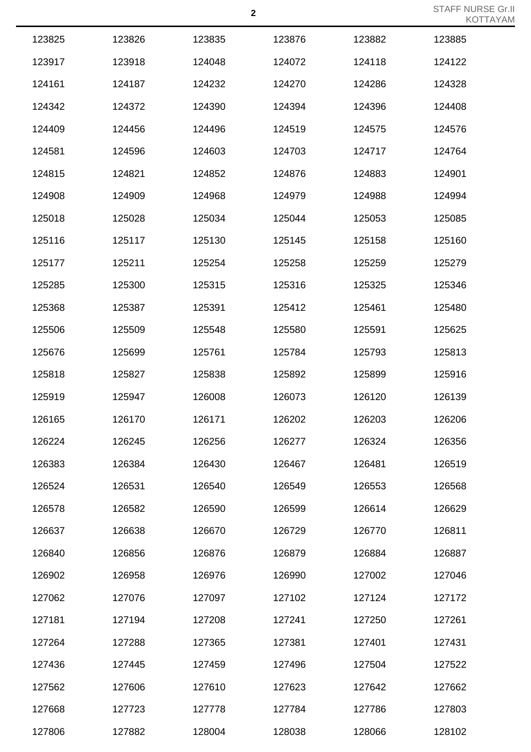| 123825 | 123826 | 123835 | 123876 | 123882 | 123885 |
|--------|--------|--------|--------|--------|--------|
| 123917 | 123918 | 124048 | 124072 | 124118 | 124122 |
| 124161 | 124187 | 124232 | 124270 | 124286 | 124328 |
| 124342 | 124372 | 124390 | 124394 | 124396 | 124408 |
| 124409 | 124456 | 124496 | 124519 | 124575 | 124576 |
| 124581 | 124596 | 124603 | 124703 | 124717 | 124764 |
| 124815 | 124821 | 124852 | 124876 | 124883 | 124901 |
| 124908 | 124909 | 124968 | 124979 | 124988 | 124994 |
| 125018 | 125028 | 125034 | 125044 | 125053 | 125085 |
| 125116 | 125117 | 125130 | 125145 | 125158 | 125160 |
| 125177 | 125211 | 125254 | 125258 | 125259 | 125279 |
| 125285 | 125300 | 125315 | 125316 | 125325 | 125346 |
| 125368 | 125387 | 125391 | 125412 | 125461 | 125480 |
| 125506 | 125509 | 125548 | 125580 | 125591 | 125625 |
| 125676 | 125699 | 125761 | 125784 | 125793 | 125813 |
| 125818 | 125827 | 125838 | 125892 | 125899 | 125916 |
| 125919 | 125947 | 126008 | 126073 | 126120 | 126139 |
| 126165 | 126170 | 126171 | 126202 | 126203 | 126206 |
| 126224 | 126245 | 126256 | 126277 | 126324 | 126356 |
| 126383 | 126384 | 126430 | 126467 | 126481 | 126519 |
| 126524 | 126531 | 126540 | 126549 | 126553 | 126568 |
| 126578 | 126582 | 126590 | 126599 | 126614 | 126629 |
| 126637 | 126638 | 126670 | 126729 | 126770 | 126811 |
| 126840 | 126856 | 126876 | 126879 | 126884 | 126887 |
| 126902 | 126958 | 126976 | 126990 | 127002 | 127046 |
| 127062 | 127076 | 127097 | 127102 | 127124 | 127172 |
| 127181 | 127194 | 127208 | 127241 | 127250 | 127261 |
| 127264 | 127288 | 127365 | 127381 | 127401 | 127431 |
| 127436 | 127445 | 127459 | 127496 | 127504 | 127522 |
| 127562 | 127606 | 127610 | 127623 | 127642 | 127662 |
| 127668 | 127723 | 127778 | 127784 | 127786 | 127803 |
| 127806 | 127882 | 128004 | 128038 | 128066 | 128102 |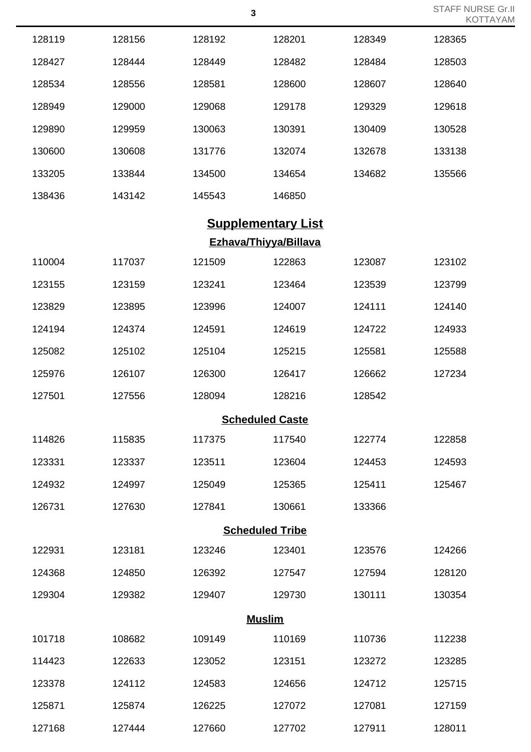|                        |        |        |                              |        | $\cdots$ |  |
|------------------------|--------|--------|------------------------------|--------|----------|--|
| 128119                 | 128156 | 128192 | 128201                       | 128349 | 128365   |  |
| 128427                 | 128444 | 128449 | 128482                       | 128484 | 128503   |  |
| 128534                 | 128556 | 128581 | 128600                       | 128607 | 128640   |  |
| 128949                 | 129000 | 129068 | 129178                       | 129329 | 129618   |  |
| 129890                 | 129959 | 130063 | 130391                       | 130409 | 130528   |  |
| 130600                 | 130608 | 131776 | 132074                       | 132678 | 133138   |  |
| 133205                 | 133844 | 134500 | 134654                       | 134682 | 135566   |  |
| 138436                 | 143142 | 145543 | 146850                       |        |          |  |
|                        |        |        | <b>Supplementary List</b>    |        |          |  |
|                        |        |        | <b>Ezhava/Thiyya/Billava</b> |        |          |  |
| 110004                 | 117037 | 121509 | 122863                       | 123087 | 123102   |  |
| 123155                 | 123159 | 123241 | 123464                       | 123539 | 123799   |  |
| 123829                 | 123895 | 123996 | 124007                       | 124111 | 124140   |  |
| 124194                 | 124374 | 124591 | 124619                       | 124722 | 124933   |  |
| 125082                 | 125102 | 125104 | 125215                       | 125581 | 125588   |  |
| 125976                 | 126107 | 126300 | 126417                       | 126662 | 127234   |  |
| 127501                 | 127556 | 128094 | 128216                       | 128542 |          |  |
|                        |        |        | <b>Scheduled Caste</b>       |        |          |  |
| 114826                 | 115835 | 117375 | 117540                       | 122774 | 122858   |  |
| 123331                 | 123337 | 123511 | 123604                       | 124453 | 124593   |  |
| 124932                 | 124997 | 125049 | 125365                       | 125411 | 125467   |  |
| 126731                 | 127630 | 127841 | 130661                       | 133366 |          |  |
| <b>Scheduled Tribe</b> |        |        |                              |        |          |  |
| 122931                 | 123181 | 123246 | 123401                       | 123576 | 124266   |  |
| 124368                 | 124850 | 126392 | 127547                       | 127594 | 128120   |  |
| 129304                 | 129382 | 129407 | 129730                       | 130111 | 130354   |  |
| <b>Muslim</b>          |        |        |                              |        |          |  |
| 101718                 | 108682 | 109149 | 110169                       | 110736 | 112238   |  |
| 114423                 | 122633 | 123052 | 123151                       | 123272 | 123285   |  |
| 123378                 | 124112 | 124583 | 124656                       | 124712 | 125715   |  |
| 125871                 | 125874 | 126225 | 127072                       | 127081 | 127159   |  |
|                        |        |        |                              |        |          |  |

127444 127660 127702 127911 128011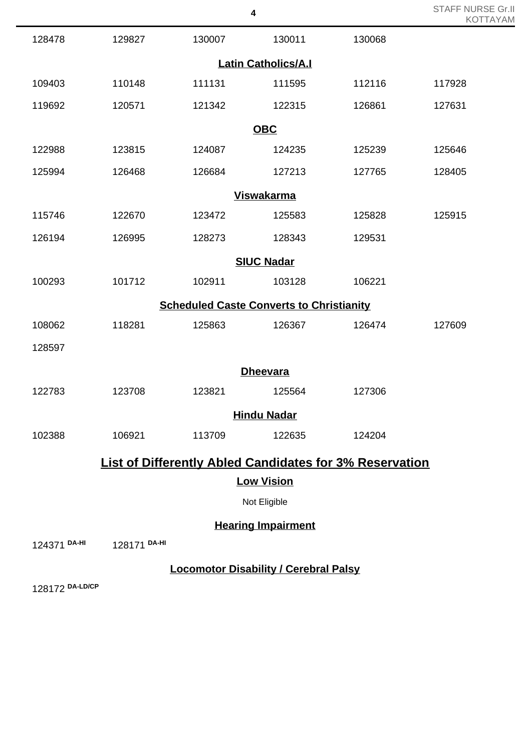|              |              |        | 4                                               |                                                                | STAFF NURSE GITH<br><b>KOTTAYAM</b> |
|--------------|--------------|--------|-------------------------------------------------|----------------------------------------------------------------|-------------------------------------|
| 128478       | 129827       | 130007 | 130011                                          | 130068                                                         |                                     |
|              |              |        | <b>Latin Catholics/A.I</b>                      |                                                                |                                     |
| 109403       | 110148       | 111131 | 111595                                          | 112116                                                         | 117928                              |
| 119692       | 120571       | 121342 | 122315                                          | 126861                                                         | 127631                              |
|              |              |        | <b>OBC</b>                                      |                                                                |                                     |
| 122988       | 123815       | 124087 | 124235                                          | 125239                                                         | 125646                              |
| 125994       | 126468       | 126684 | 127213                                          | 127765                                                         | 128405                              |
|              |              |        | <b>Viswakarma</b>                               |                                                                |                                     |
| 115746       | 122670       | 123472 | 125583                                          | 125828                                                         | 125915                              |
| 126194       | 126995       | 128273 | 128343                                          | 129531                                                         |                                     |
|              |              |        | <b>SIUC Nadar</b>                               |                                                                |                                     |
| 100293       | 101712       | 102911 | 103128                                          | 106221                                                         |                                     |
|              |              |        | <b>Scheduled Caste Converts to Christianity</b> |                                                                |                                     |
| 108062       | 118281       | 125863 | 126367                                          | 126474                                                         | 127609                              |
| 128597       |              |        |                                                 |                                                                |                                     |
|              |              |        | <b>Dheevara</b>                                 |                                                                |                                     |
| 122783       | 123708       | 123821 | 125564                                          | 127306                                                         |                                     |
|              |              |        | <b>Hindu Nadar</b>                              |                                                                |                                     |
| 102388       | 106921       | 113709 | 122635                                          | 124204                                                         |                                     |
|              |              |        |                                                 | <b>List of Differently Abled Candidates for 3% Reservation</b> |                                     |
|              |              |        | <b>Low Vision</b>                               |                                                                |                                     |
|              |              |        | Not Eligible                                    |                                                                |                                     |
|              |              |        | <b>Hearing Impairment</b>                       |                                                                |                                     |
| 124371 DA-HI | 128171 DA-HI |        |                                                 |                                                                |                                     |

STAFF NURSE Gr.II

**Locomotor Disability / Cerebral Palsy**

128172 **DA-LD/CP**